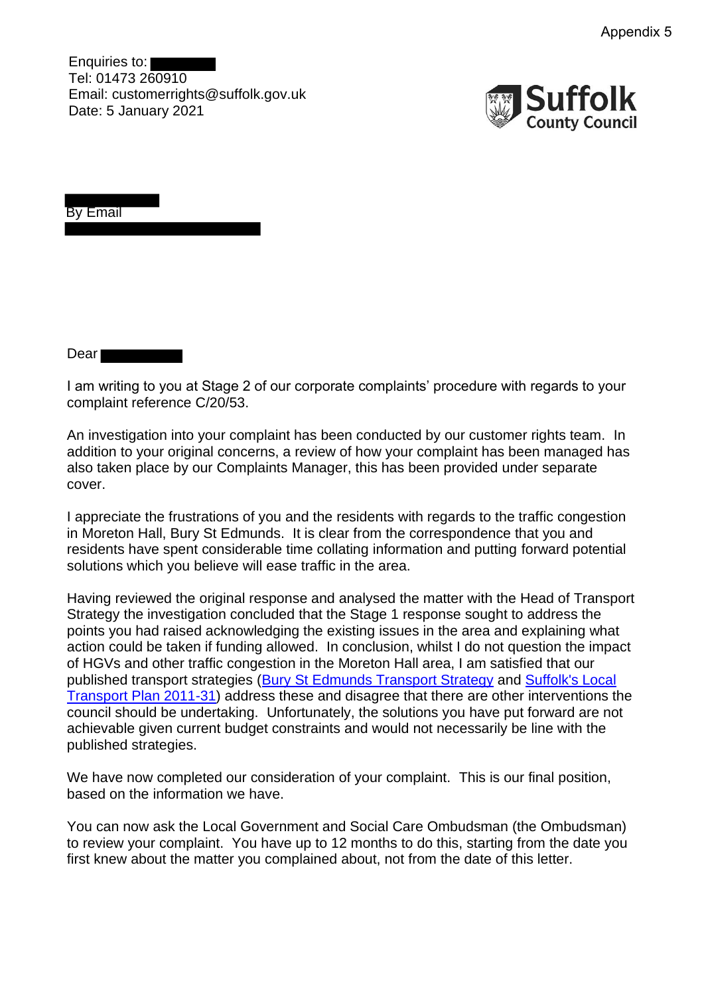Enquiries to: Tel: 01473 260910 Email: customerrights@suffolk.gov.uk Date: 5 January 2021



By Email

Dear<sup>1</sup>

I am writing to you at Stage 2 of our corporate complaints' procedure with regards to your complaint reference C/20/53.

An investigation into your complaint has been conducted by our customer rights team. In addition to your original concerns, a review of how your complaint has been managed has also taken place by our Complaints Manager, this has been provided under separate cover.

I appreciate the frustrations of you and the residents with regards to the traffic congestion in Moreton Hall, Bury St Edmunds. It is clear from the correspondence that you and residents have spent considerable time collating information and putting forward potential solutions which you believe will ease traffic in the area.

Having reviewed the original response and analysed the matter with the Head of Transport Strategy the investigation concluded that the Stage 1 response sought to address the points you had raised acknowledging the existing issues in the area and explaining what action could be taken if funding allowed. In conclusion, whilst I do not question the impact of HGVs and other traffic congestion in the Moreton Hall area, I am satisfied that our published transport strategies (Bury St Edmunds Transport Strategy and Suffolk's Local Transport Plan 2011-31) address these and disagree that there are other interventions the council should be undertaking. Unfortunately, the solutions you have put forward are not achievable given current budget constraints and would not necessarily be line with the published strategies.

We have now completed our consideration of your complaint. This is our final position, based on the information we have.

You can now ask the Local Government and Social Care Ombudsman (the Ombudsman) to review your complaint. You have up to 12 months to do this, starting from the date you first knew about the matter you complained about, not from the date of this letter.